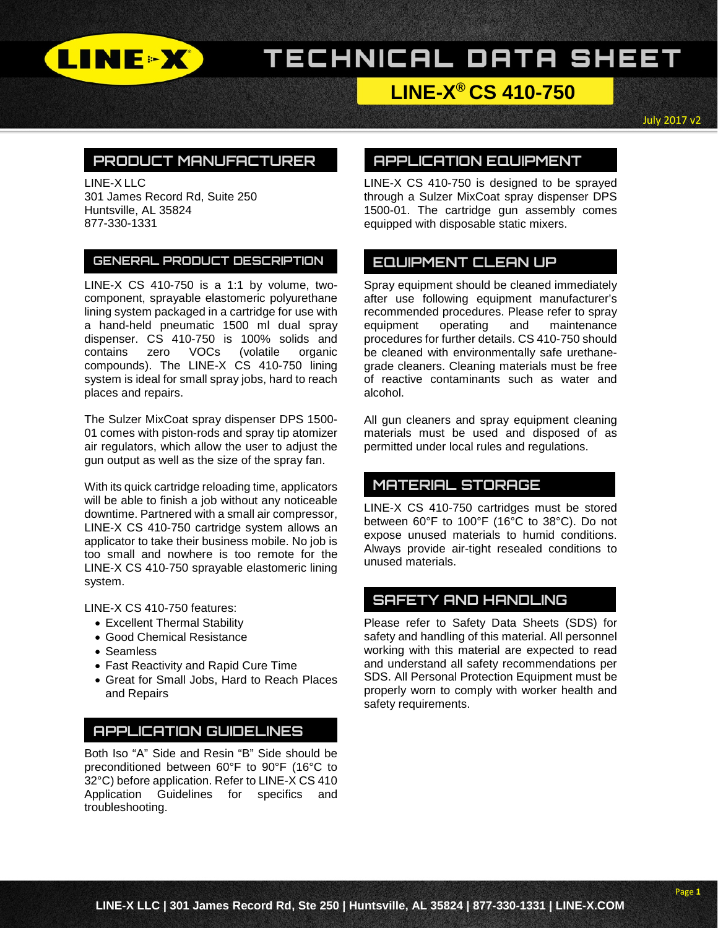

# TECHNICAL DATA SHEET

## **LINE-X® CS 410-750**

July 2017 v2

### **PRODUCT MANUFACTURER**

LINE-X LLC 301 James Record Rd, Suite 250 Huntsville, AL 35824 877-330-1331

#### **GENERAL PRODUCT DESCRIPTION**

LINE-X CS 410-750 is a 1:1 by volume, twocomponent, sprayable elastomeric polyurethane lining system packaged in a cartridge for use with a hand-held pneumatic 1500 ml dual spray dispenser. CS 410-750 is 100% solids and contains zero VOCs (volatile organic compounds). The LINE-X CS 410-750 lining system is ideal for small spray jobs, hard to reach places and repairs.

The Sulzer MixCoat spray dispenser DPS 1500- 01 comes with piston-rods and spray tip atomizer air regulators, which allow the user to adjust the gun output as well as the size of the spray fan.

With its quick cartridge reloading time, applicators will be able to finish a job without any noticeable downtime. Partnered with a small air compressor, LINE-X CS 410-750 cartridge system allows an applicator to take their business mobile. No job is too small and nowhere is too remote for the LINE-X CS 410-750 sprayable elastomeric lining system.

LINE-X CS 410-750 features:

- Excellent Thermal Stability
- Good Chemical Resistance
- Seamless
- Fast Reactivity and Rapid Cure Time
- Great for Small Jobs, Hard to Reach Places and Repairs

### **APPLICATION GUIDELINES**

Both Iso "A" Side and Resin "B" Side should be preconditioned between 60°F to 90°F (16°C to 32°C) before application. Refer to LINE-X CS 410 Application Guidelines for specifics and troubleshooting.

### **APPLICATION EQUIPMENT**

LINE-X CS 410-750 is designed to be sprayed through a Sulzer MixCoat spray dispenser DPS 1500-01. The cartridge gun assembly comes equipped with disposable static mixers.

### **EQUIPMENT CLEAN UP**

Spray equipment should be cleaned immediately after use following equipment manufacturer's recommended procedures. Please refer to spray equipment operating and maintenance procedures for further details. CS 410-750 should be cleaned with environmentally safe urethanegrade cleaners. Cleaning materials must be free of reactive contaminants such as water and alcohol.

All gun cleaners and spray equipment cleaning materials must be used and disposed of as permitted under local rules and regulations.

## **MATERIAL STORAGE**

LINE-X CS 410-750 cartridges must be stored between 60°F to 100°F (16°C to 38°C). Do not expose unused materials to humid conditions. Always provide air-tight resealed conditions to unused materials.

## **SAFETY AND HANDLING**

Please refer to Safety Data Sheets (SDS) for safety and handling of this material. All personnel working with this material are expected to read and understand all safety recommendations per SDS. All Personal Protection Equipment must be properly worn to comply with worker health and safety requirements.